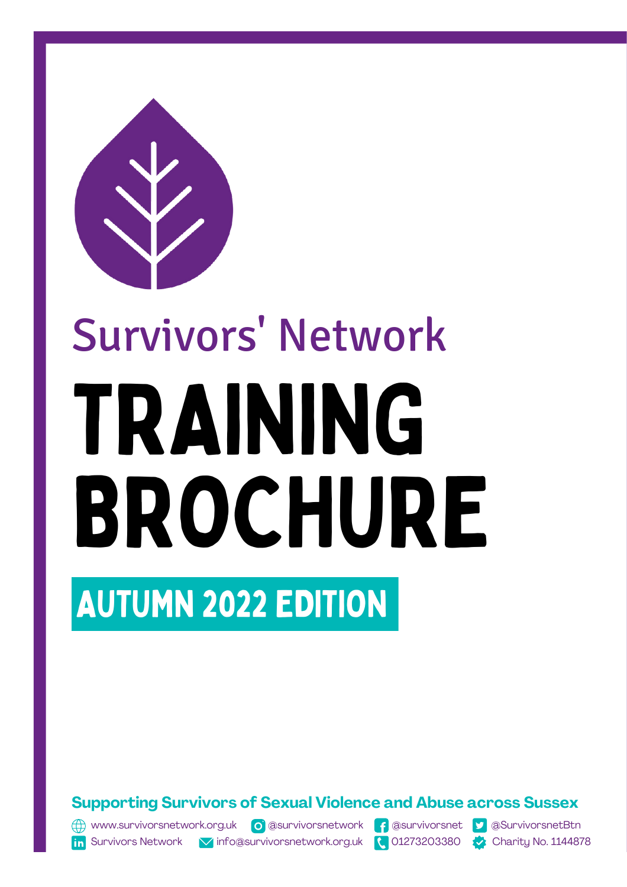

# TRAINING BROCHURE Survivors' Network

## AUTUMN 2022 EDITION

**Supporting Survivors of Sexual Violence and Abuse across Sussex**

(1) [www.survivorsnetwork.org.uk](http://www.survivorsnetwork.org.uk/) o [@survivorsn](https://twitter.com/SurvivorsnetBtn)etwork f @survivorsnet 9 [@SurvivorsnetBtn](https://twitter.com/SurvivorsnetBtn)

**In** Survivors Network **V** info@survivorsnetwork.org.uk **Q** 01273203380 Charity No. 1144878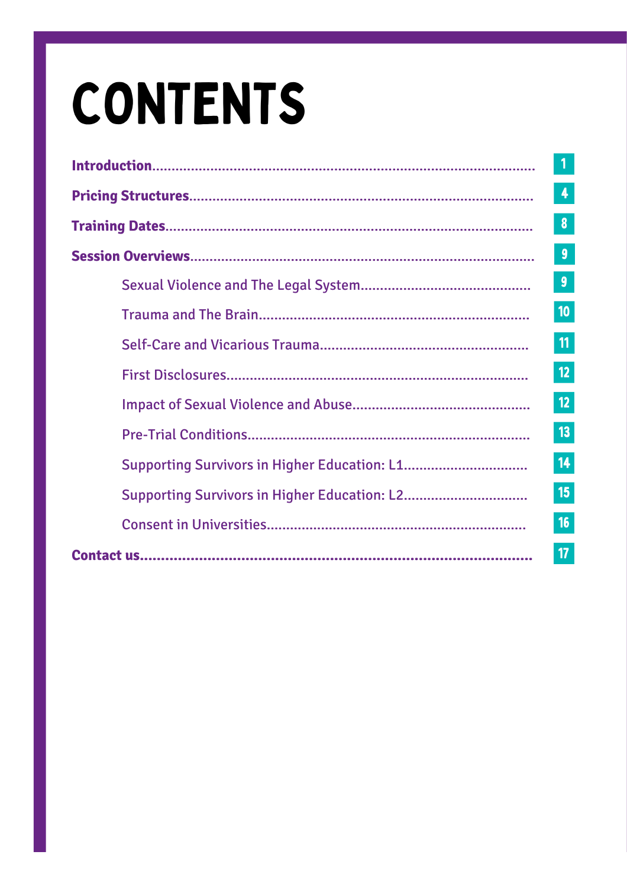## **CONTENTS**

| $\overline{\mathbf{1}}$ |
|-------------------------|
| 4                       |
| 8                       |
| $\boldsymbol{9}$        |
| $\boldsymbol{9}$        |
| 10                      |
| 11                      |
| 12                      |
| 12                      |
| 13                      |
| 14                      |
| 15                      |
| 16                      |
| 17                      |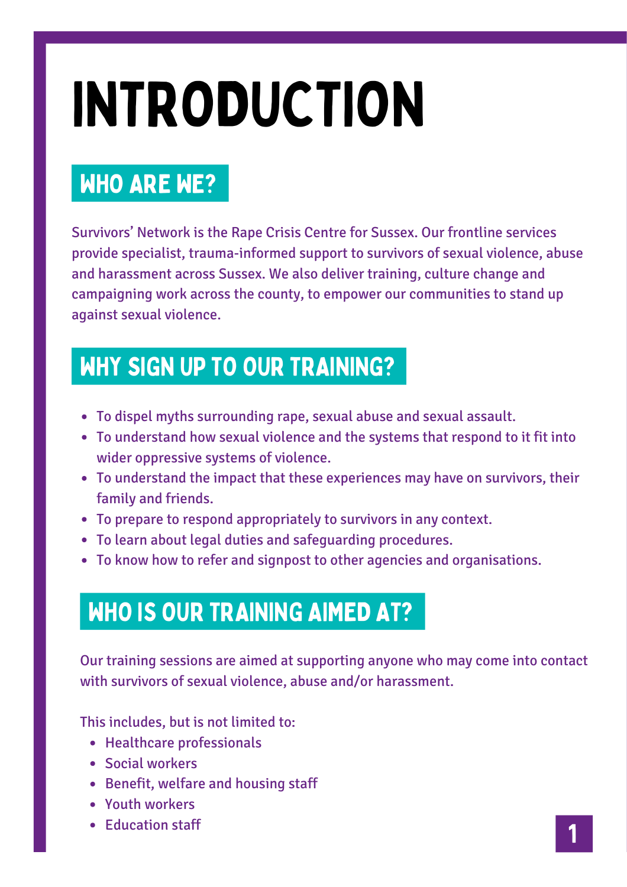## INTRODUCTION

## WHO ARE WE?

Survivors' Network is the Rape Crisis Centre for Sussex. Our frontline services provide specialist, trauma-informed support to survivors of sexual violence, abuse and harassment across Sussex. We also deliver training, culture change and campaigning work across the county, to empower our communities to stand up against sexual violence.

## WHY SIGN UP TO OUR TRAINING?

- To dispel myths surrounding rape, sexual abuse and sexual assault.
- To understand how sexual violence and the systems that respond to it fit into wider oppressive systems of violence.
- To understand the impact that these experiences may have on survivors, their family and friends.
- To prepare to respond appropriately to survivors in any context.
- To learn about legal duties and safeguarding procedures.
- To know how to refer and signpost to other agencies and organisations.

## WHO IS OUR TRAINING AIMED AT?

Our training sessions are aimed at supporting anyone who may come into contact with survivors of sexual violence, abuse and/or harassment.

This includes, but is not limited to:

- Healthcare professionals
- Social workers
- Benefit, welfare and housing staff
- Youth workers
- Education staff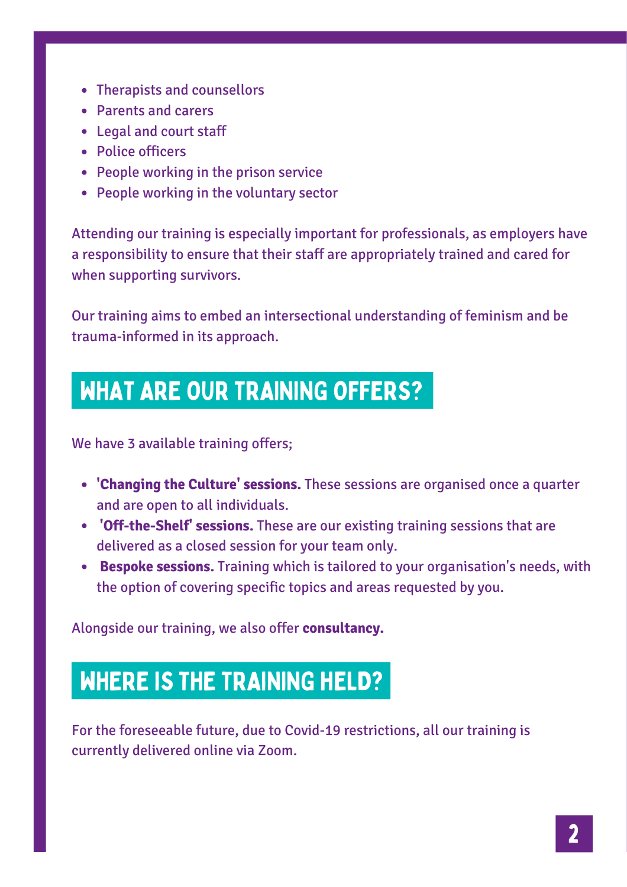- Therapists and counsellors
- Parents and carers
- Legal and court staff
- Police officers
- People working in the prison service
- People working in the voluntary sector

Attending our training is especially important for professionals, as employers have a responsibility to ensure that their staff are appropriately trained and cared for when supporting survivors.

Our training aims to embed an intersectional understanding of feminism and be trauma-informed in its approach.

### WHAT ARE OUR TRAINING OFFERS?

We have 3 available training offers;

- **'Changing the Culture' sessions.** These sessions are organised once a quarter and are open to all individuals.
- **'Off-the-Shelf' sessions.** These are our existing training sessions that are delivered as a closed session for your team only.
- **Bespoke sessions.** Training which is tailored to your organisation's needs, with the option of covering specific topics and areas requested by you.

Alongside our training, we also offer **consultancy.**

### WHERE IS THE TRAINING HELD?

For the foreseeable future, due to Covid-19 restrictions, all our training is currently delivered online via Zoom.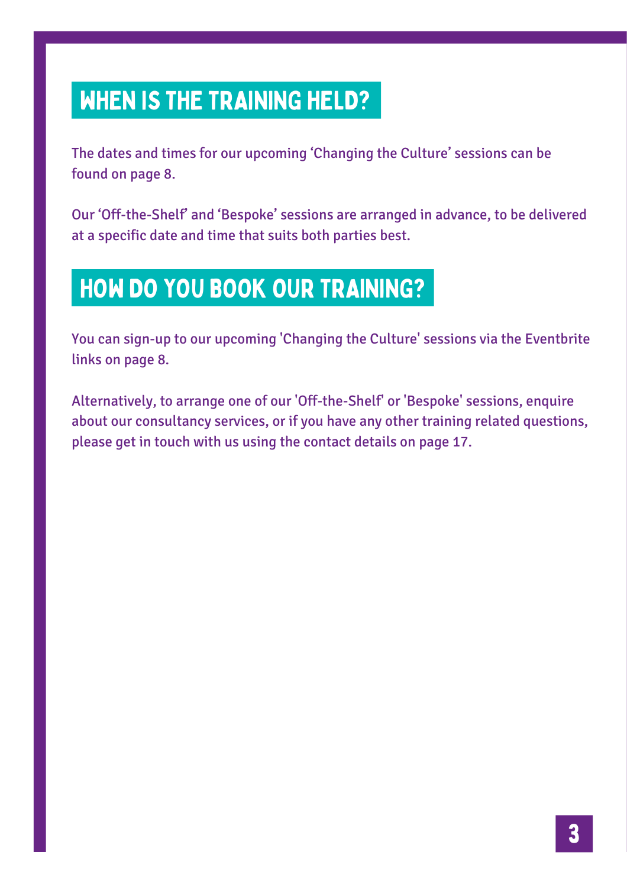## WHEN IS THE TRAINING HELD?

The dates and times for our upcoming 'Changing the Culture' sessions can be found on page 8.

Our 'Off-the-Shelf' and 'Bespoke' sessions are arranged in advance, to be delivered at a specific date and time that suits both parties best.

## HOW DO YOU BOOK OUR TRAINING?

You can sign-up to our upcoming 'Changing the Culture' sessions via the Eventbrite links on page 8.

Alternatively, to arrange one of our 'Off-the-Shelf' or 'Bespoke' sessions, enquire about our consultancy services, or if you have any other training related questions, please get in touch with us using the contact details on page 17.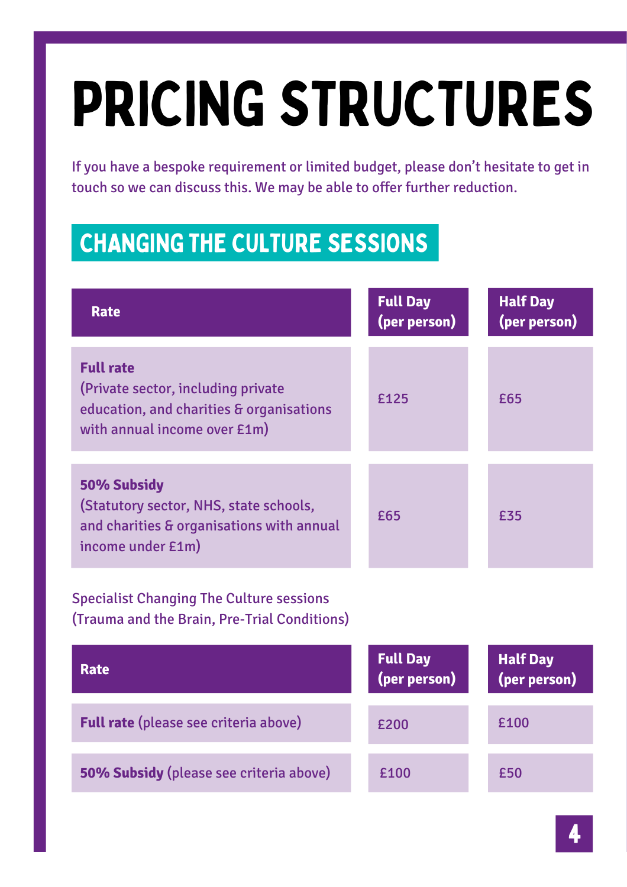## PRICING STRUCTURES

If you have a bespoke requirement or limited budget, please don't hesitate to get in touch so we can discuss this. We may be able to offer further reduction.

## CHANGING THE CULTURE SESSIONS

| <b>Rate</b>                                                                                                                        | <b>Full Day</b><br>(per person) | <b>Half Day</b><br>(per person) |
|------------------------------------------------------------------------------------------------------------------------------------|---------------------------------|---------------------------------|
| <b>Full rate</b><br>(Private sector, including private<br>education, and charities & organisations<br>with annual income over £1m) | £125                            | £65                             |
| 50% Subsidy<br>(Statutory sector, NHS, state schools,<br>and charities & organisations with annual<br>income under £1m)            | £65                             | £35                             |
| <b>Specialist Changing The Culture sessions</b><br>(Trauma and the Brain, Pre-Trial Conditions)                                    |                                 |                                 |
| <b>Rate</b>                                                                                                                        | <b>Full Day</b><br>(per person) | <b>Half Day</b><br>(per person) |
| <b>Full rate</b> (please see criteria above)                                                                                       | £200                            | £100                            |
| <b>50% Subsidy</b> (please see criteria above)                                                                                     | £100                            | £50                             |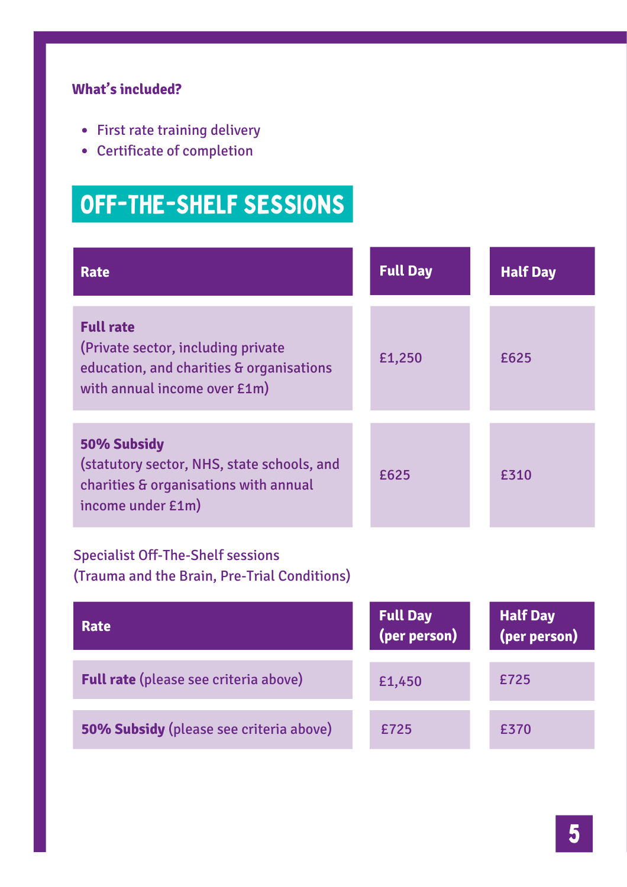#### **What's included?**

- First rate training delivery
- Certificate of completion

## OFF-THE-SHELF SESSIONS

| Rate                                                                                                                               | <b>Full Day</b> | <b>Half Day</b> |
|------------------------------------------------------------------------------------------------------------------------------------|-----------------|-----------------|
| <b>Full rate</b><br>(Private sector, including private<br>education, and charities & organisations<br>with annual income over £1m) | £1,250          | £625            |
| 50% Subsidy<br>(statutory sector, NHS, state schools, and<br>charities & organisations with annual<br>income under £1m)            | £625            | £310            |
| <b>Specialist Off-The-Shelf sessions</b><br>(Trauma and the Brain, Pre-Trial Conditions)                                           |                 |                 |

| Rate                                         | <b>Full Day</b><br>(per person) | Half Day<br>(per person) |
|----------------------------------------------|---------------------------------|--------------------------|
| <b>Full rate</b> (please see criteria above) | £1,450                          | £725                     |
| 50% Subsidy (please see criteria above)      | £725                            | £370                     |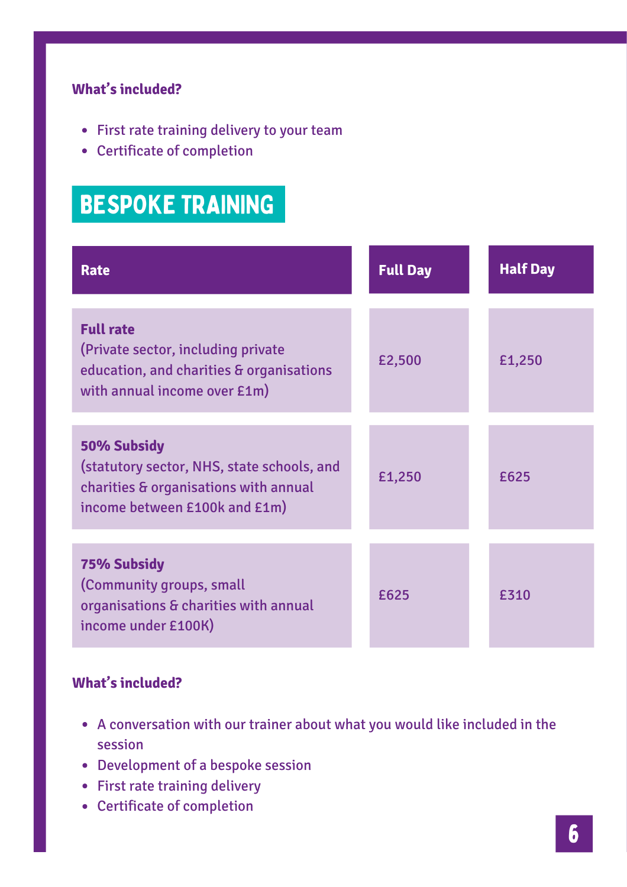#### **What's included?**

- First rate training delivery to your team
- Certificate of completion

## BESPOKE TRAINING

| <b>Rate</b>                                                                                                                         | <b>Full Day</b> | <b>Half Day</b> |
|-------------------------------------------------------------------------------------------------------------------------------------|-----------------|-----------------|
| <b>Full rate</b><br>(Private sector, including private)<br>education, and charities & organisations<br>with annual income over £1m) | £2,500          | £1,250          |
| 50% Subsidy<br>(statutory sector, NHS, state schools, and<br>charities & organisations with annual<br>income between £100k and £1m) | £1,250          | £625            |
| <b>75% Subsidy</b><br>(Community groups, small<br>organisations & charities with annual<br>income under £100K)                      | £625            | £310            |

#### **What's included?**

- A conversation with our trainer about what you would like included in the session
- Development of a bespoke session
- First rate training delivery
- Certificate of completion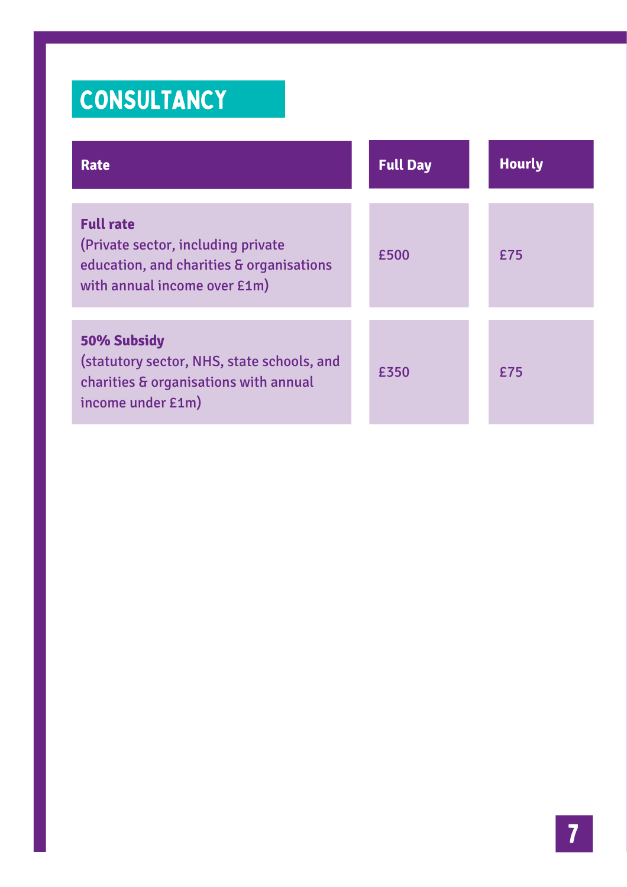## **CONSULTANCY**

| <b>Rate</b>                                                                                                                        | <b>Full Day</b> | <b>Hourly</b> |
|------------------------------------------------------------------------------------------------------------------------------------|-----------------|---------------|
| <b>Full rate</b><br>(Private sector, including private<br>education, and charities & organisations<br>with annual income over £1m) | £500            | £75           |
| 50% Subsidy<br>(statutory sector, NHS, state schools, and<br>charities & organisations with annual<br>income under £1m)            | £350            | £75           |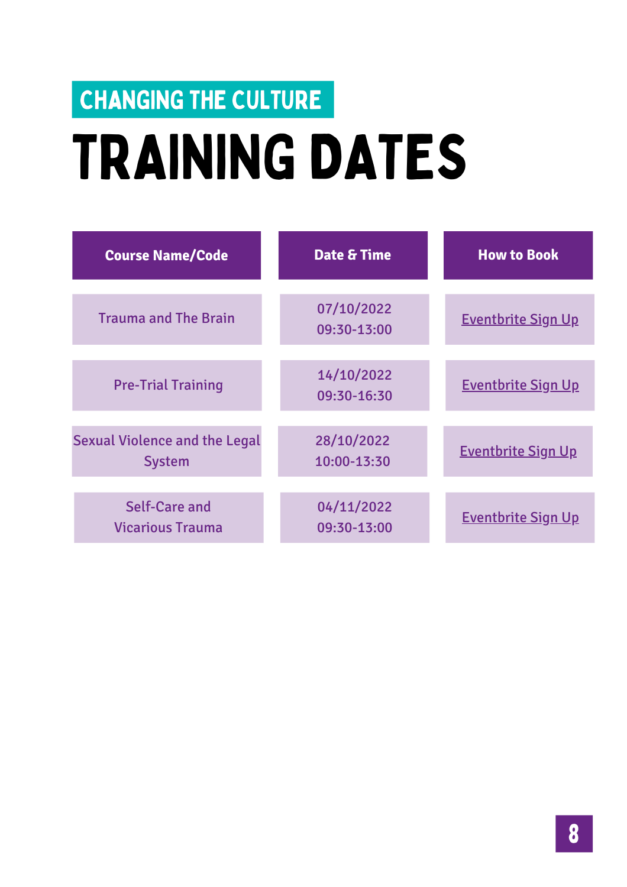## TRAINING DATES CHANGING THE CULTURE

| <b>Course Name/Code</b>                               | Date & Time               | <b>How to Book</b>        |
|-------------------------------------------------------|---------------------------|---------------------------|
| <b>Trauma and The Brain</b>                           | 07/10/2022<br>09:30-13:00 | <b>Eventbrite Sign Up</b> |
| <b>Pre-Trial Training</b>                             | 14/10/2022<br>09:30-16:30 | <b>Eventbrite Sign Up</b> |
| <b>Sexual Violence and the Legal</b><br><b>System</b> | 28/10/2022<br>10:00-13:30 | <b>Eventbrite Sign Up</b> |
| Self-Care and<br><b>Vicarious Trauma</b>              | 04/11/2022<br>09:30-13:00 | <b>Eventbrite Sign Up</b> |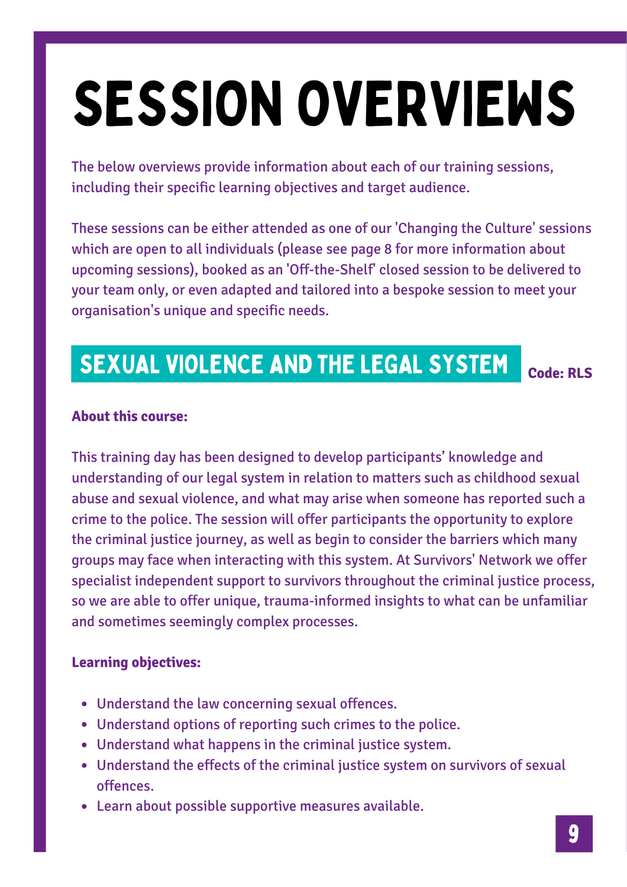## SESSION OVERVIEWS

The below overviews provide information about each of our training sessions, including their specific learning objectives and target audience.

These sessions can be either attended as one of our 'Changing the Culture' sessions which are open to all individuals (please see page 8 for more information about upcoming sessions), booked as an 'Off-the-Shelf' closed session to be delivered to your team only, or even adapted and tailored into a bespoke session to meet your organisation's unique and specific needs.

## SEXUAL VIOLENCE AND THE LEGAL SYSTEM

**Code: RLS**

#### **About this course:**

This training day has been designed to develop participants' knowledge and understanding of our legal system in relation to matters such as childhood sexual abuse and sexual violence, and what may arise when someone has reported such a crime to the police. The session will offer participants the opportunity to explore the criminal justice journey, as well as begin to consider the barriers which many groups may face when interacting with this system. At Survivors' Network we offer specialist independent support to survivors throughout the criminal justice process, so we are able to offer unique, trauma-informed insights to what can be unfamiliar and sometimes seemingly complex processes.

#### **Learning objectives:**

- Understand the law concerning sexual offences.
- Understand options of reporting such crimes to the police.
- Understand what happens in the criminal justice system.
- Understand the effects of the criminal justice system on survivors of sexual offences.
- Learn about possible supportive measures available.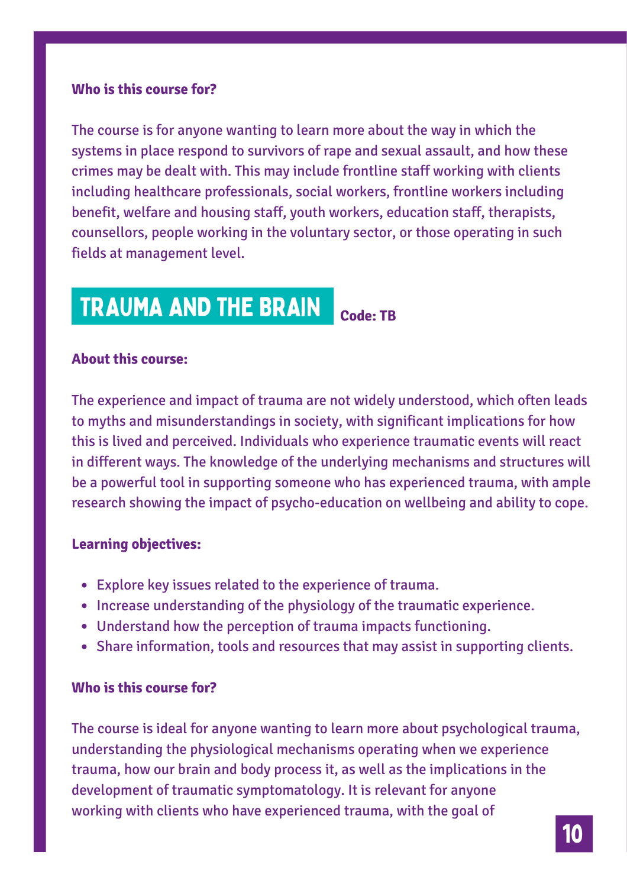#### **Who is this course for?**

The course is for anyone wanting to learn more about the way in which the systems in place respond to survivors of rape and sexual assault, and how these crimes may be dealt with. This may include frontline staff working with clients including healthcare professionals, social workers, frontline workers including benefit, welfare and housing staff, youth workers, education staff, therapists, counsellors, people working in the voluntary sector, or those operating in such fields at management level.

## TRAUMA AND THE BRAIN

**Code: TB**

#### **About this course:**

The experience and impact of trauma are not widely understood, which often leads to myths and misunderstandings in society, with significant implications for how this is lived and perceived. Individuals who experience traumatic events will react in different ways. The knowledge of the underlying mechanisms and structures will be a powerful tool in supporting someone who has experienced trauma, with ample research showing the impact of psycho-education on wellbeing and ability to cope.

#### **Learning objectives:**

- Explore key issues related to the experience of trauma.
- Increase understanding of the physiology of the traumatic experience.
- Understand how the perception of trauma impacts functioning.
- Share information, tools and resources that may assist in supporting clients.

#### **Who is this course for?**

The course is ideal for anyone wanting to learn more about psychological trauma, understanding the physiological mechanisms operating when we experience trauma, how our brain and body process it, as well as the implications in the development of traumatic symptomatology. It is relevant for anyone working with clients who have experienced trauma, with the goal of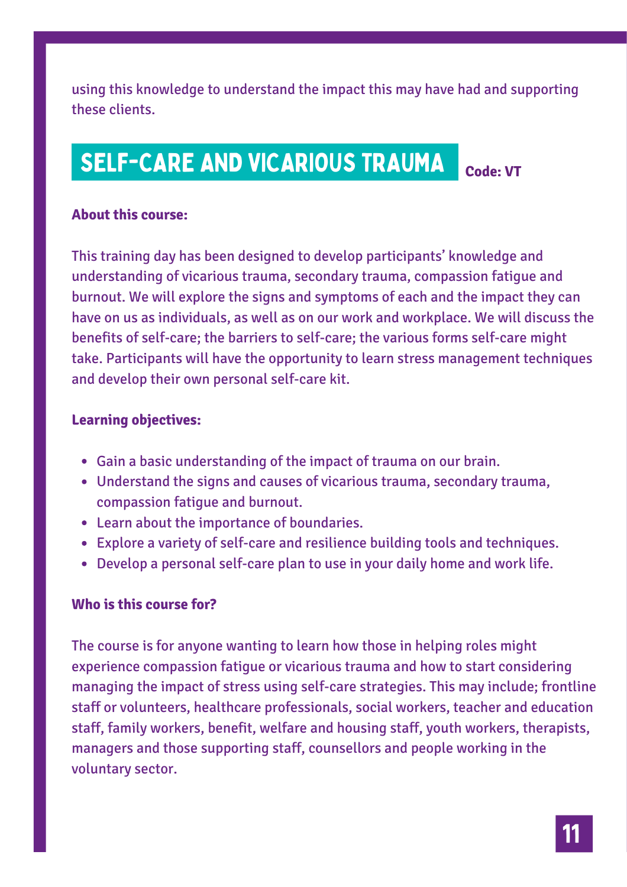using this knowledge to understand the impact this may have had and supporting these clients.

**Code: VT**

## SELF-CARE AND VICARIOUS TRAUMA

**About this course:**

This training day has been designed to develop participants' knowledge and understanding of vicarious trauma, secondary trauma, compassion fatigue and burnout. We will explore the signs and symptoms of each and the impact they can have on us as individuals, as well as on our work and workplace. We will discuss the benefits of self-care; the barriers to self-care; the various forms self-care might take. Participants will have the opportunity to learn stress management techniques and develop their own personal self-care kit.

#### **Learning objectives:**

- Gain a basic understanding of the impact of trauma on our brain.
- Understand the signs and causes of vicarious trauma, secondary trauma, compassion fatigue and burnout.
- Learn about the importance of boundaries.
- Explore a variety of self-care and resilience building tools and techniques.
- Develop a personal self-care plan to use in your daily home and work life.

#### **Who is this course for?**

The course is for anyone wanting to learn how those in helping roles might experience compassion fatigue or vicarious trauma and how to start considering managing the impact of stress using self-care strategies. This may include; frontline staff or volunteers, healthcare professionals, social workers, teacher and education staff, family workers, benefit, welfare and housing staff, youth workers, therapists, managers and those supporting staff, counsellors and people working in the voluntary sector.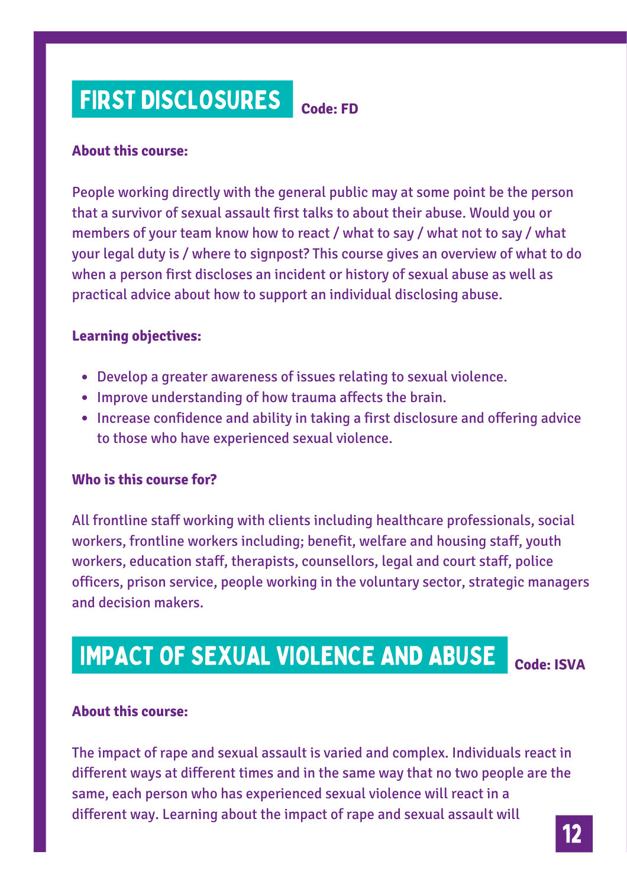## FIRST DISCLOSURES

#### **About this course:**

People working directly with the general public may at some point be the person that a survivor of sexual assault first talks to about their abuse. Would you or members of your team know how to react / what to say / what not to say / what your legal duty is / where to signpost? This course gives an overview of what to do when a person first discloses an incident or history of sexual abuse as well as practical advice about how to support an individual disclosing abuse.

**Code: FD**

#### **Learning objectives:**

- Develop a greater awareness of issues relating to sexual violence.
- Improve understanding of how trauma affects the brain.
- Increase confidence and ability in taking a first disclosure and offering advice to those who have experienced sexual violence.

#### **Who is this course for?**

All frontline staff working with clients including healthcare professionals, social workers, frontline workers including; benefit, welfare and housing staff, youth workers, education staff, therapists, counsellors, legal and court staff, police officers, prison service, people working in the voluntary sector, strategic managers and decision makers.

## IMPACT OF SEXUAL VIOLENCE AND ABUSE

**Code: ISVA**

#### **About this course:**

The impact of rape and sexual assault is varied and complex. Individuals react in different ways at different times and in the same way that no two people are the same, each person who has experienced sexual violence will react in a different way. Learning about the impact of rape and sexual assault will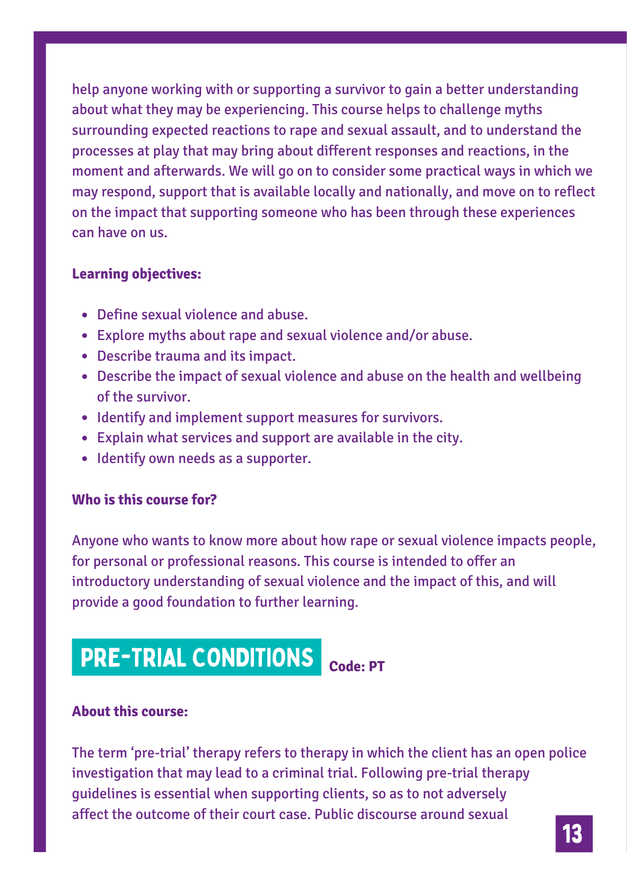help anyone working with or supporting a survivor to gain a better understanding about what they may be experiencing. This course helps to challenge myths surrounding expected reactions to rape and sexual assault, and to understand the processes at play that may bring about different responses and reactions, in the moment and afterwards. We will go on to consider some practical ways in which we may respond, support that is available locally and nationally, and move on to reflect on the impact that supporting someone who has been through these experiences can have on us.

#### **Learning objectives:**

- Define sexual violence and abuse.
- Explore myths about rape and sexual violence and/or abuse.
- Describe trauma and its impact.
- Describe the impact of sexual violence and abuse on the health and wellbeing of the survivor.
- Identify and implement support measures for survivors.
- Explain what services and support are available in the city.
- Identify own needs as a supporter.

#### **Who is this course for?**

Anyone who wants to know more about how rape or sexual violence impacts people, for personal or professional reasons. This course is intended to offer an introductory understanding of sexual violence and the impact of this, and will provide a good foundation to further learning.

## **PRE-TRIAL CONDITIONS** Code: PT

#### **About this course:**

The term 'pre-trial' therapy refers to therapy in which the client has an open police investigation that may lead to a criminal trial. Following pre-trial therapy guidelines is essential when supporting clients, so as to not adversely affect the outcome of their court case. Public discourse around sexual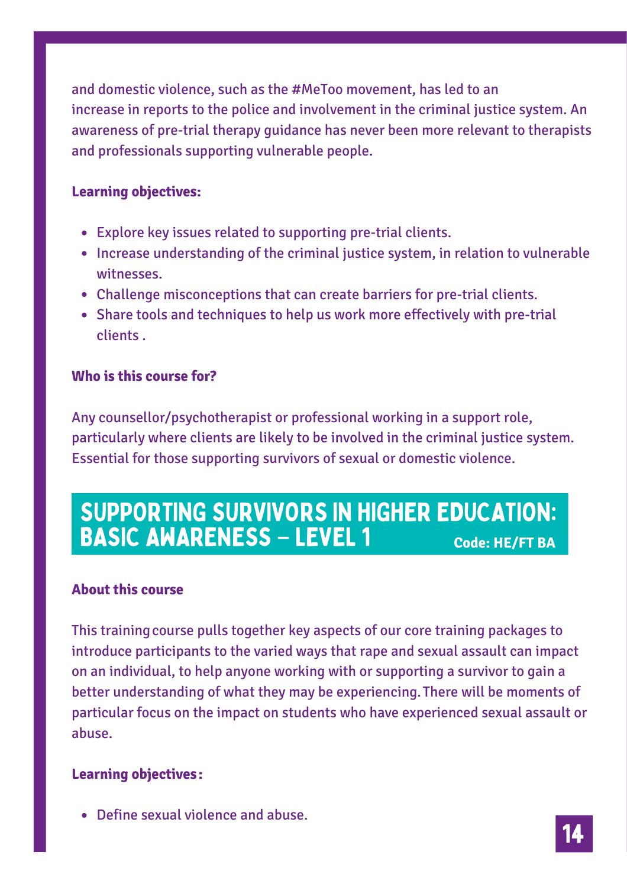and domestic violence, such as the #MeToo movement, has led to an increase in reports to the police and involvement in the criminal justice system. An awareness of pre-trial therapy guidance has never been more relevant to therapists and professionals supporting vulnerable people.

#### **Learning objectives:**

- Explore key issues related to supporting pre-trial clients.
- Increase understanding of the criminal justice system, in relation to vulnerable witnesses.
- Challenge misconceptions that can create barriers for pre-trial clients.
- Share tools and techniques to help us work more effectively with pre-trial clients .

#### **Who is this course for?**

Any counsellor/psychotherapist or professional working in a support role, particularly where clients are likely to be involved in the criminal justice system. Essential for those supporting survivors of sexual or domestic violence.

### SUPPORTING SURVIVORS IN HIGHER EDUCATION: BASIC AWARENESS – LEVEL 1 **Code: HE/FT BA**

#### **About this course**

This trainingcourse pulls together key aspects of our core training packages to introduce participants to the varied ways that rape and sexual assault can impact on an individual, to help anyone working with or supporting a survivor to gain a better understanding of what they may be experiencing.There will be moments of particular focus on the impact on students who have experienced sexual assault or abuse.

#### **Learning objectives:**

Define sexual violence and abuse.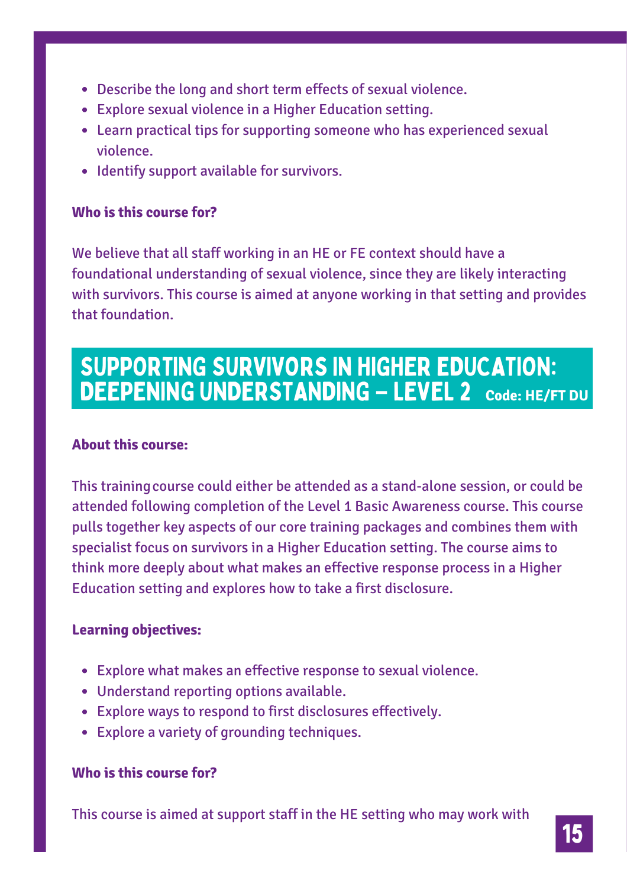- Describe the long and short term effects of sexual violence.
- Explore sexual violence in a Higher Education setting.
- Learn practical tips for supporting someone who has experienced sexual violence.
- Identify support available for survivors.

#### **Who is this course for?**

We believe that all staff working in an HE or FE context should have a foundational understanding of sexual violence, since they are likely interacting with survivors. This course is aimed at anyone working in that setting and provides that foundation.

### SUPPORTING SURVIVORS IN HIGHER EDUCATION: DEEPENING UNDERSTANDING **–** LEVEL 2 **Code: HE/FT DU**

#### **About this course:**

This trainingcourse could either be attended as a stand-alone session, or could be attended following completion of the Level 1 Basic Awareness course. This course pulls together key aspects of our core training packages and combines them with specialist focus on survivors in a Higher Education setting. The course aims to think more deeply about what makes an effective response process in a Higher Education setting and explores how to take a first disclosure.

#### **Learning objectives:**

- Explore what makes an effective response to sexual violence.
- Understand reporting options available.
- Explore ways to respond to first disclosures effectively.
- Explore a variety of grounding techniques.

#### **Who is this course for?**

This course is aimed at support staff in the HE setting who may work with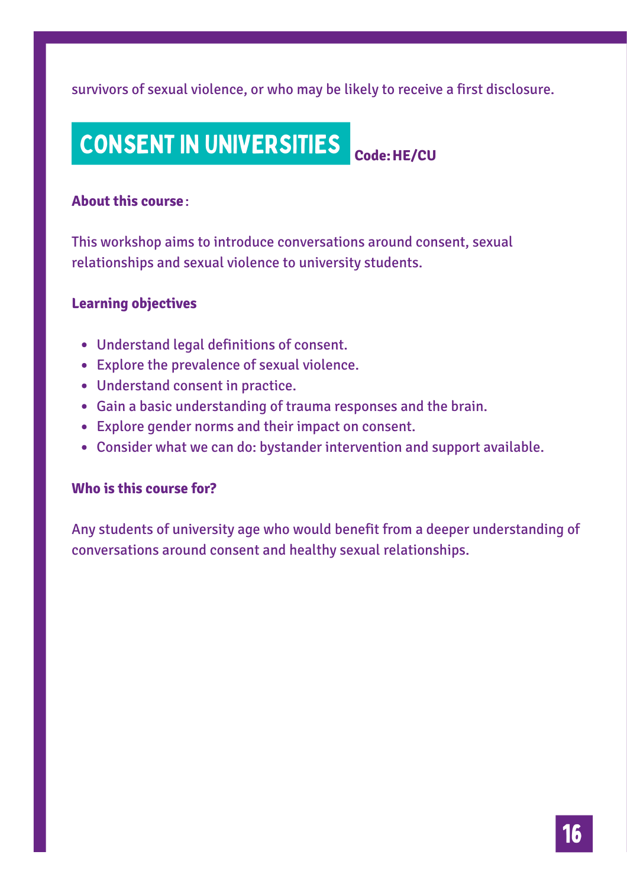survivors of sexual violence, or who may be likely to receive a first disclosure.

#### CONSENT IN UNIVERSITIES **Code:HE/CU**

#### **About this course**:

This workshop aims to introduce conversations around consent, sexual relationships and sexual violence to university students.

#### **Learning objectives**

- Understand legal definitions of consent.
- Explore the prevalence of sexual violence.
- Understand consent in practice.
- Gain a basic understanding of trauma responses and the brain.
- Explore gender norms and their impact on consent.
- Consider what we can do: bystander intervention and support available.

#### **Who is this course for?**

Any students of university age who would benefit from a deeper understanding of conversations around consent and healthy sexual relationships.